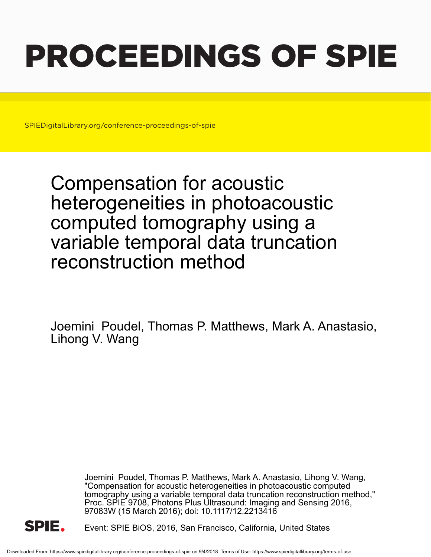# PROCEEDINGS OF SPIE

SPIEDigitalLibrary.org/conference-proceedings-of-spie

Compensation for acoustic heterogeneities in photoacoustic computed tomography using a variable temporal data truncation reconstruction method

Joemini Poudel, Thomas P. Matthews, Mark A. Anastasio, Lihong V. Wang

> Joemini Poudel, Thomas P. Matthews, Mark A. Anastasio, Lihong V. Wang, "Compensation for acoustic heterogeneities in photoacoustic computed tomography using a variable temporal data truncation reconstruction method," Proc. SPIE 9708, Photons Plus Ultrasound: Imaging and Sensing 2016, 97083W (15 March 2016); doi: 10.1117/12.2213416



Event: SPIE BiOS, 2016, San Francisco, California, United States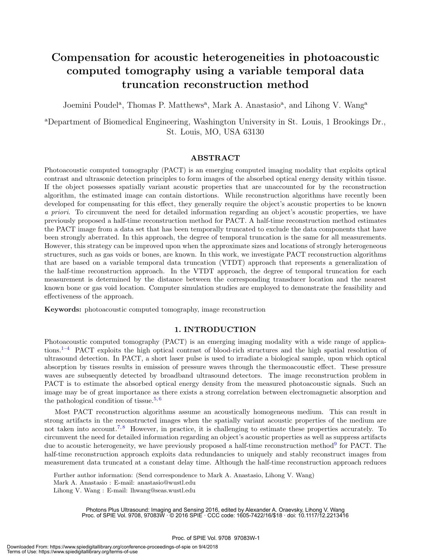## Compensation for acoustic heterogeneities in photoacoustic computed tomography using a variable temporal data truncation reconstruction method

Joemini Poudel<sup>a</sup>, Thomas P. Matthews<sup>a</sup>, Mark A. Anastasio<sup>a</sup>, and Lihong V. Wang<sup>a</sup>

<sup>a</sup>Department of Biomedical Engineering, Washington University in St. Louis, 1 Brookings Dr., St. Louis, MO, USA 63130

#### ABSTRACT

Photoacoustic computed tomography (PACT) is an emerging computed imaging modality that exploits optical contrast and ultrasonic detection principles to form images of the absorbed optical energy density within tissue. If the object possesses spatially variant acoustic properties that are unaccounted for by the reconstruction algorithm, the estimated image can contain distortions. While reconstruction algorithms have recently been developed for compensating for this effect, they generally require the object's acoustic properties to be known a priori. To circumvent the need for detailed information regarding an object's acoustic properties, we have previously proposed a half-time reconstruction method for PACT. A half-time reconstruction method estimates the PACT image from a data set that has been temporally truncated to exclude the data components that have been strongly aberrated. In this approach, the degree of temporal truncation is the same for all measurements. However, this strategy can be improved upon when the approximate sizes and locations of strongly heterogeneous structures, such as gas voids or bones, are known. In this work, we investigate PACT reconstruction algorithms that are based on a variable temporal data truncation (VTDT) approach that represents a generalization of the half-time reconstruction approach. In the VTDT approach, the degree of temporal truncation for each measurement is determined by the distance between the corresponding transducer location and the nearest known bone or gas void location. Computer simulation studies are employed to demonstrate the feasibility and effectiveness of the approach.

Keywords: photoacoustic computed tomography, image reconstruction

#### 1. INTRODUCTION

Photoacoustic computed tomography (PACT) is an emerging imaging modality with a wide range of applications.<sup>1–4</sup> PACT exploits the high optical contrast of blood-rich structures and the high spatial resolution of ultrasound detection. In PACT, a short laser pulse is used to irradiate a biological sample, upon which optical absorption by tissues results in emission of pressure waves through the thermoacoustic effect. These pressure waves are subsequently detected by broadband ultrasound detectors. The image reconstruction problem in PACT is to estimate the absorbed optical energy density from the measured photoacoustic signals. Such an image may be of great importance as there exists a strong correlation between electromagnetic absorption and the pathological condition of tissue.<sup>5, 6</sup>

Most PACT reconstruction algorithms assume an acoustically homogeneous medium. This can result in strong artifacts in the reconstructed images when the spatially variant acoustic properties of the medium are not taken into account.<sup>7,8</sup> However, in practice, it is challenging to estimate these properties accurately. To circumvent the need for detailed information regarding an object's acoustic properties as well as suppress artifacts due to acoustic heterogeneity, we have previously proposed a half-time reconstruction method<sup>9</sup> for PACT. The half-time reconstruction approach exploits data redundancies to uniquely and stably reconstruct images from measurement data truncated at a constant delay time. Although the half-time reconstruction approach reduces

Further author information: (Send correspondence to Mark A. Anastasio, Lihong V. Wang) Mark A. Anastasio : E-mail: anastasio@wustl.edu Lihong V. Wang : E-mail: lhwang@seas.wustl.edu

> Photons Plus Ultrasound: Imaging and Sensing 2016, edited by Alexander A. Oraevsky, Lihong V. Wang Proc. of SPIE Vol. 9708, 97083W · © 2016 SPIE · CCC code: 1605-7422/16/\$18 · doi: 10.1117/12.2213416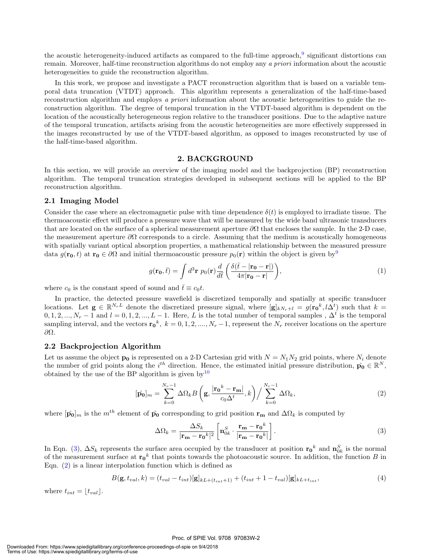the acoustic heterogeneity-induced artifacts as compared to the full-time approach,<sup>9</sup> significant distortions can remain. Moreover, half-time reconstruction algorithms do not employ any a priori information about the acoustic heterogeneities to guide the reconstruction algorithm.

In this work, we propose and investigate a PACT reconstruction algorithm that is based on a variable temporal data truncation (VTDT) approach. This algorithm represents a generalization of the half-time-based reconstruction algorithm and employs a priori information about the acoustic heterogeneities to guide the reconstruction algorithm. The degree of temporal truncation in the VTDT-based algorithm is dependent on the location of the acoustically heterogeneous region relative to the transducer positions. Due to the adaptive nature of the temporal truncation, artifacts arising from the acoustic heterogeneities are more effectively suppressed in the images reconstructed by use of the VTDT-based algorithm, as opposed to images reconstructed by use of the half-time-based algorithm.

#### 2. BACKGROUND

In this section, we will provide an overview of the imaging model and the backprojection (BP) reconstruction algorithm. The temporal truncation strategies developed in subsequent sections will be applied to the BP reconstruction algorithm.

#### 2.1 Imaging Model

Consider the case where an electromagnetic pulse with time dependence  $\delta(t)$  is employed to irradiate tissue. The thermoacoustic effect will produce a pressure wave that will be measured by the wide band ultrasonic transducers that are located on the surface of a spherical measurement aperture  $\partial\Omega$  that encloses the sample. In the 2-D case, the measurement aperture  $\partial\Omega$  corresponds to a circle. Assuming that the medium is acoustically homogeneous with spatially variant optical absorption properties, a mathematical relationship between the measured pressure data  $g(\mathbf{r_0}, t)$  at  $\mathbf{r_0} \in \partial\Omega$  and initial thermoacoustic pressure  $p_0(\mathbf{r})$  within the object is given by<sup>9</sup>

$$
g(\mathbf{r_0}, \bar{t}) = \int d^3 \mathbf{r} \ p_0(\mathbf{r}) \frac{d}{d\bar{t}} \left( \frac{\delta(\bar{t} - |\mathbf{r_0} - \mathbf{r}|)}{4\pi |\mathbf{r_0} - \mathbf{r}|} \right),\tag{1}
$$

where  $c_0$  is the constant speed of sound and  $\bar{t} \equiv c_0 t$ .

In practice, the detected pressure wavefield is discretized temporally and spatially at specific transducer locations. Let  $\mathbf{g} \in \mathbb{R}^{N_r L}$  denote the discretized pressure signal, where  $[\mathbf{g}]_{k N_r+l} = g(\mathbf{r_0}^k, l\Delta^t)$  such that  $k =$  $0, 1, 2, ..., N_r - 1$  and  $l = 0, 1, 2, ..., L - 1$ . Here, L is the total number of temporal samples,  $\Delta^t$  is the temporal sampling interval, and the vectors  $\mathbf{r_0}^k$ ,  $k = 0, 1, 2, ..., N_r - 1$ , represent the  $N_r$  receiver locations on the aperture ∂Ω.

#### 2.2 Backprojection Algorithm

Let us assume the object  $\mathbf{p}_0$  is represented on a 2-D Cartesian grid with  $N = N_1N_2$  grid points, where  $N_i$  denote the number of grid points along the i<sup>th</sup> direction. Hence, the estimated initial pressure distribution,  $\hat{\mathbf{p}}_0 \in \mathbb{R}^N$ , obtained by the use of the BP algorithm is given by  $10$ 

$$
[\hat{\mathbf{p}_0}]_m = \sum_{k=0}^{N_r - 1} \Delta \Omega_k B \left( \mathbf{g}, \frac{|\mathbf{r_0}^k - \mathbf{r_m}|}{c_0 \Delta^t}, k \right) / \sum_{k=0}^{N_r - 1} \Delta \Omega_k, \tag{2}
$$

where  $[\hat{\mathbf{p}_0}]_m$  is the  $m^{th}$  element of  $\hat{\mathbf{p}_0}$  corresponding to grid position  $\mathbf{r}_m$  and  $\Delta\Omega_k$  is computed by

$$
\Delta\Omega_k = \frac{\Delta S_k}{|\mathbf{r_m} - \mathbf{r_0}^k|^2} \left[ \mathbf{n}_{0k}^S \cdot \frac{\mathbf{r_m} - \mathbf{r_0}^k}{|\mathbf{r_m} - \mathbf{r_0}^k|} \right].
$$
 (3)

In Eqn. (3),  $\Delta S_k$  represents the surface area occupied by the transducer at position  $\mathbf{r_0}^k$  and  $\mathbf{n}_{0k}^S$  is the normal of the measurement surface at  $\mathbf{r_0}^k$  that points towards the photoacoustic source. In addition, the function B in Eqn. (2) is a linear interpolation function which is defined as

$$
B(\mathbf{g}, t_{val}, k) = (t_{val} - t_{int})[\mathbf{g}]_{kL + (t_{int} + 1)} + (t_{int} + 1 - t_{val})[\mathbf{g}]_{kL + t_{int}},
$$
\n(4)

where  $t_{int} = \lfloor t_{val} \rfloor$ .

#### Proc. of SPIE Vol. 9708 97083W-2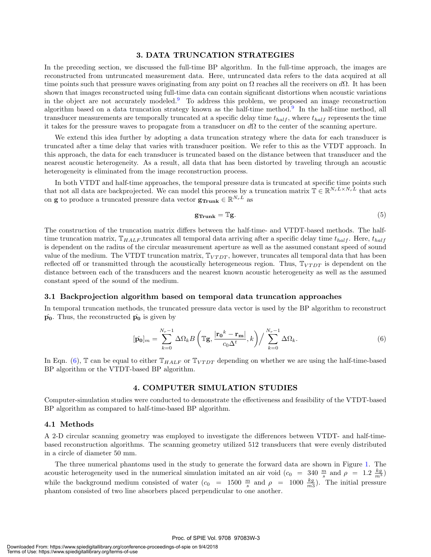#### 3. DATA TRUNCATION STRATEGIES

In the preceding section, we discussed the full-time BP algorithm. In the full-time approach, the images are reconstructed from untruncated measurement data. Here, untruncated data refers to the data acquired at all time points such that pressure waves originating from any point on  $\Omega$  reaches all the receivers on  $d\Omega$ . It has been shown that images reconstructed using full-time data can contain significant distortions when acoustic variations in the object are not accurately modeled.<sup>9</sup> To address this problem, we proposed an image reconstruction algorithm based on a data truncation strategy known as the half-time method.<sup>9</sup> In the half-time method, all transducer measurements are temporally truncated at a specific delay time  $t_{halt}$ , where  $t_{halt}$  represents the time it takes for the pressure waves to propagate from a transducer on  $d\Omega$  to the center of the scanning aperture.

We extend this idea further by adopting a data truncation strategy where the data for each transducer is truncated after a time delay that varies with transducer position. We refer to this as the VTDT approach. In this approach, the data for each transducer is truncated based on the distance between that transducer and the nearest acoustic heterogeneity. As a result, all data that has been distorted by traveling through an acoustic heterogeneity is eliminated from the image reconstruction process.

In both VTDT and half-time approaches, the temporal pressure data is truncated at specific time points such that not all data are backprojected. We can model this process by a truncation matrix  $\mathbb{T} \in \mathbb{R}^{N_r L \times N_r L}$  that acts on **g** to produce a truncated pressure data vector  $\mathbf{g_{Trunk}} \in \mathbb{R}^{N_rL}$  as

$$
\mathbf{g}_{\text{Trunk}} = \mathbb{T}\mathbf{g}.\tag{5}
$$

The construction of the truncation matrix differs between the half-time- and VTDT-based methods. The halftime truncation matrix,  $\mathbb{T}_{HALF}$ ,truncates all temporal data arriving after a specific delay time  $t_{half}$ . Here,  $t_{half}$ is dependent on the radius of the circular measurement aperture as well as the assumed constant speed of sound value of the medium. The VTDT truncation matrix,  $\mathbb{T}_{V T D T}$ , however, truncates all temporal data that has been reflected off or transmitted through the acoustically heterogeneous region. Thus,  $T_{V T D T}$  is dependent on the distance between each of the transducers and the nearest known acoustic heterogeneity as well as the assumed constant speed of the sound of the medium.

#### 3.1 Backprojection algorithm based on temporal data truncation approaches

In temporal truncation methods, the truncated pressure data vector is used by the BP algorithm to reconstruct  $\hat{\mathbf{p}_0}$ . Thus, the reconstructed  $\hat{\mathbf{p}_0}$  is given by

$$
[\hat{\mathbf{p}_0}]_m = \sum_{k=0}^{N_r - 1} \Delta \Omega_k B \left( \mathbb{T} \mathbf{g}, \frac{|\mathbf{r_0}^k - \mathbf{r_m}|}{c_0 \Delta^t}, k \right) / \sum_{k=0}^{N_r - 1} \Delta \Omega_k.
$$
 (6)

In Eqn. (6), T can be equal to either  $\mathbb{T}_{HALF}$  or  $\mathbb{T}_{VTDT}$  depending on whether we are using the half-time-based BP algorithm or the VTDT-based BP algorithm.

#### 4. COMPUTER SIMULATION STUDIES

Computer-simulation studies were conducted to demonstrate the effectiveness and feasibility of the VTDT-based BP algorithm as compared to half-time-based BP algorithm.

#### 4.1 Methods

A 2-D circular scanning geometry was employed to investigate the differences between VTDT- and half-timebased reconstruction algorithms. The scanning geometry utilized 512 transducers that were evenly distributed in a circle of diameter 50 mm.

The three numerical phantoms used in the study to generate the forward data are shown in Figure 1. The acoustic heterogeneity used in the numerical simulation imitated an air void  $(c_0 = 340 \frac{m}{s}$  and  $\rho = 1.2 \frac{kg}{m^3})$ while the background medium consisted of water  $(c_0 = 1500 \frac{m}{s}$  and  $\rho = 1000 \frac{kg}{m3}$ . The initial pressure phantom consisted of two line absorbers placed perpendicular to one another.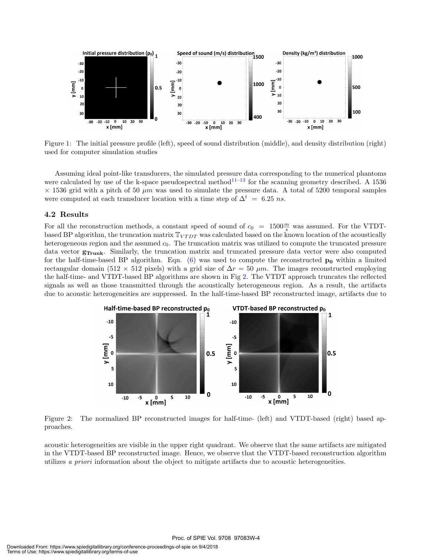

Figure 1: The initial pressure profile (left), speed of sound distribution (middle), and density distribution (right) used for computer simulation studies

Assuming ideal point-like transducers, the simulated pressure data corresponding to the numerical phantoms were calculated by use of the k-space pseudospectral method<sup>11–13</sup> for the scanning geometry described. A 1536  $\times$  1536 grid with a pitch of 50  $\mu$ m was used to simulate the pressure data. A total of 5200 temporal samples were computed at each transducer location with a time step of  $\Delta^t = 6.25$  ns.

### 4.2 Results

For all the reconstruction methods, a constant speed of sound of  $c_0 = 1500 \frac{m}{s}$  was assumed. For the VTDTbased BP algorithm, the truncation matrix  $\mathbb{T}_{V T D T}$  was calculated based on the known location of the acoustically heterogeneous region and the assumed  $c<sub>0</sub>$ . The truncation matrix was utilized to compute the truncated pressure data vector  $g_{\text{Trunk}}$ . Similarly, the truncation matrix and truncated pressure data vector were also computed for the half-time-based BP algorithm. Eqn.  $(6)$  was used to compute the reconstructed  $p_0$  within a limited rectangular domain (512 × 512 pixels) with a grid size of  $\Delta r = 50 \ \mu m$ . The images reconstructed employing the half-time- and VTDT-based BP algorithms are shown in Fig 2. The VTDT approach truncates the reflected signals as well as those transmitted through the acoustically heterogeneous region. As a result, the artifacts due to acoustic heterogeneities are suppressed. In the half-time-based BP reconstructed image, artifacts due to



Figure 2: The normalized BP reconstructed images for half-time- (left) and VTDT-based (right) based approaches.

acoustic heterogeneities are visible in the upper right quadrant. We observe that the same artifacts are mitigated in the VTDT-based BP reconstructed image. Hence, we observe that the VTDT-based reconstruction algorithm utilizes a priori information about the object to mitigate artifacts due to acoustic heterogeneities.